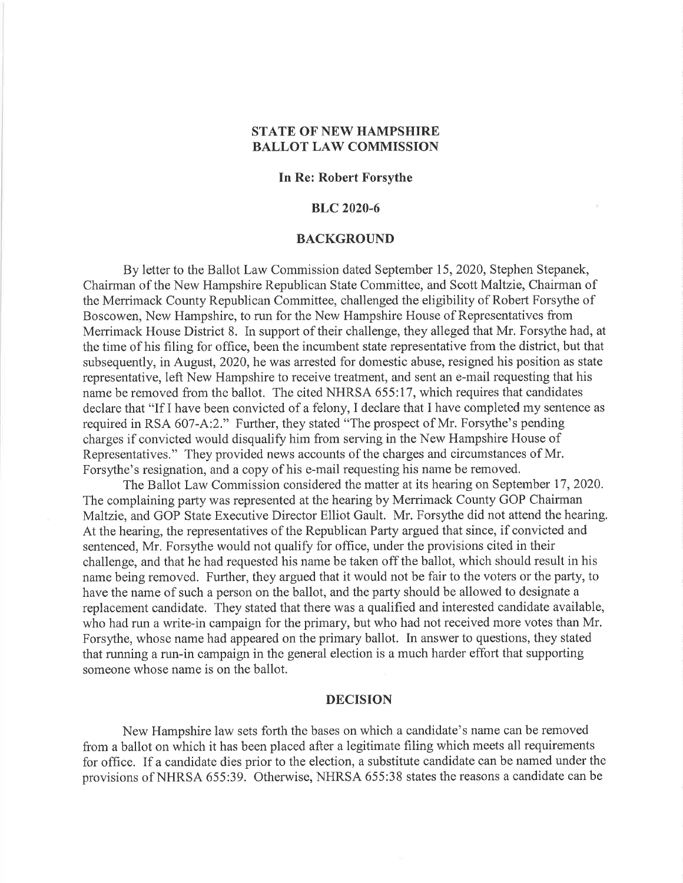# STATE OF NEW HAMPSHIRE BALLOT LAW COMMISSION

# In Re: Robert Forsythe

### BLC 2020-6

#### BACKGROUND

By letter to the Ballot Law Commission dated September 15, 2020, Stephen Stepanek, Chairman of the New Hampshire Republican State Committee, and Scott Maltzie, Chairman of the Merrimack County Republican Committee, challenged the eligibility of Robert Forsythe of Boscowen, New Hampshire, to run for the New Hampshire House of Representatives from Merrimack House District 8. In support of their challenge, they alleged that Mr. Forsythe had, at the time of his filing for office, been the incumbent state representative from the district, but that subsequently, in August,2020, he was arrested for domestic abuse, resigned his position as state representative, left New Hampshire to receive treatment, and sent an e-mail requesting that his name be removed from the ballot. The cited NHRSA 655:17, which requires that candidates declare that "If I have been convicted of a felony, I declare that I have completed my sentence as required in RSA 607-A:2." Further, they stated "The prospect of Mr. Forsythe's pending charges if convicted would disqualify him from serving in the New Hampshire House of Representatives." They provided news accounts of the charges and circumstances of Mr. Forsythe's resignation, and a copy of his e-mail requesting his name be removed.

The Ballot Law Commission considered the matter at its hearing on September 17,2020. The complaining party was represented at the hearing by Merrimack County GOP Chairman Maltzie, and GOP State Executive Director Elliot Gault. Mr. Forsythe did not attend the hearing. At the hearing, the representatives of the Republican Party argued that since, if convicted and sentenced, Mr. Forsythe would not qualify for office, under the provisions cited in their challenge, and that he had requested his name be taken off the ballot, which should result in his name being removed. Further, they argued that it would not be fair to the voters or the party, to have the name of such a person on the ballot, and the party should be allowed to designate a replacement candidate. They stated that there was a qualified and interested candidate available, who had run a write-in campaign for the primary, but who had not received more votes than Mr. Forsythe, whose name had appeared on the primary ballot. In answer to questions, they stated that running a run-in campaign in the general election is a much harder effort that supporting someone whose name is on the ballot.

### DECISION

New Hampshire law sets forth the bases on which a candidate's name can be removed from a ballot on which it has been placed after a legitimate filing which meets all requirements for office. If a candidate dies prior to the election, a substitute candidate can be named under the provisions of NHRSA 655:39. Otherwise, NHRSA 655:38 states the reasons a candidate can be